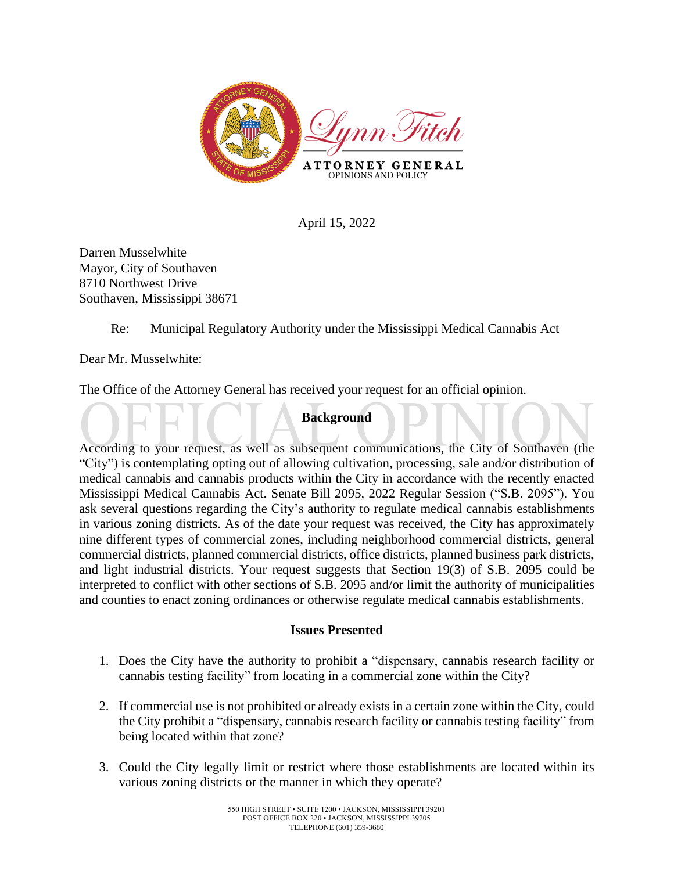

April 15, 2022

Darren Musselwhite Mayor, City of Southaven 8710 Northwest Drive Southaven, Mississippi 38671

# Re: Municipal Regulatory Authority under the Mississippi Medical Cannabis Act

Dear Mr. Musselwhite:

The Office of the Attorney General has received your request for an official opinion.

# **Background**

According to your request, as well as subsequent communications, the City of Southaven (the "City") is contemplating opting out of allowing cultivation, processing, sale and/or distribution of medical cannabis and cannabis products within the City in accordance with the recently enacted Mississippi Medical Cannabis Act. Senate Bill 2095, 2022 Regular Session ("S.B. 2095"). You ask several questions regarding the City's authority to regulate medical cannabis establishments in various zoning districts. As of the date your request was received, the City has approximately nine different types of commercial zones, including neighborhood commercial districts, general commercial districts, planned commercial districts, office districts, planned business park districts, and light industrial districts. Your request suggests that Section 19(3) of S.B. 2095 could be interpreted to conflict with other sections of S.B. 2095 and/or limit the authority of municipalities and counties to enact zoning ordinances or otherwise regulate medical cannabis establishments.

#### **Issues Presented**

- 1. Does the City have the authority to prohibit a "dispensary, cannabis research facility or cannabis testing facility" from locating in a commercial zone within the City?
- 2. If commercial use is not prohibited or already exists in a certain zone within the City, could the City prohibit a "dispensary, cannabis research facility or cannabis testing facility" from being located within that zone?
- 3. Could the City legally limit or restrict where those establishments are located within its various zoning districts or the manner in which they operate?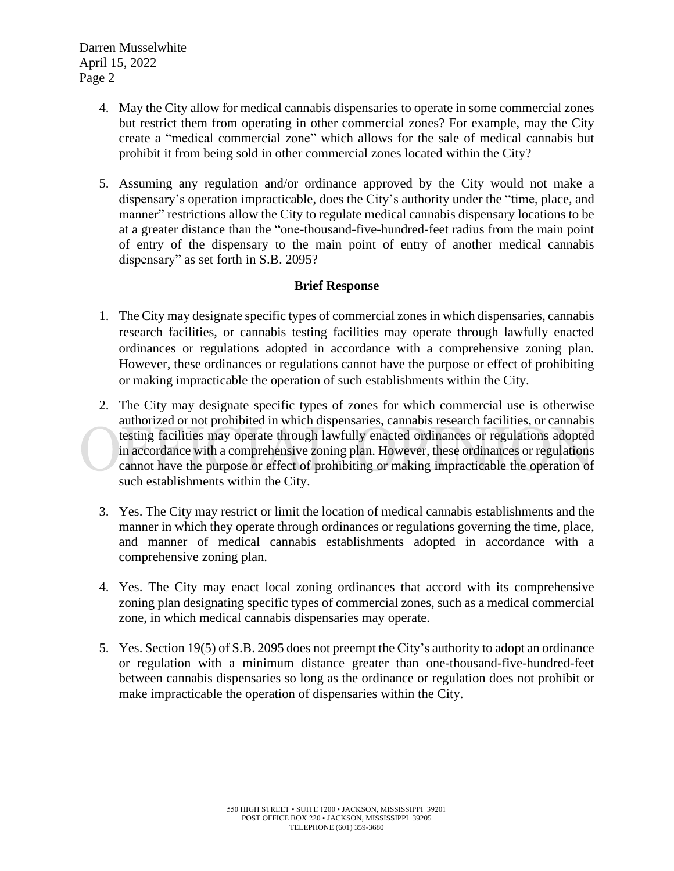- 4. May the City allow for medical cannabis dispensaries to operate in some commercial zones but restrict them from operating in other commercial zones? For example, may the City create a "medical commercial zone" which allows for the sale of medical cannabis but prohibit it from being sold in other commercial zones located within the City?
- 5. Assuming any regulation and/or ordinance approved by the City would not make a dispensary's operation impracticable, does the City's authority under the "time, place, and manner" restrictions allow the City to regulate medical cannabis dispensary locations to be at a greater distance than the "one-thousand-five-hundred-feet radius from the main point of entry of the dispensary to the main point of entry of another medical cannabis dispensary" as set forth in S.B. 2095?

### **Brief Response**

- 1. The City may designate specific types of commercial zones in which dispensaries, cannabis research facilities, or cannabis testing facilities may operate through lawfully enacted ordinances or regulations adopted in accordance with a comprehensive zoning plan. However, these ordinances or regulations cannot have the purpose or effect of prohibiting or making impracticable the operation of such establishments within the City.
- 2. The City may designate specific types of zones for which commercial use is otherwise authorized or not prohibited in which dispensaries, cannabis research facilities, or cannabis testing facilities may operate through lawfully enacted ordinances or regulations adopted in accordance with a comprehensive zoning plan. However, these ordinances or regulations cannot have the purpose or effect of prohibiting or making impracticable the operation of such establishments within the City.
- 3. Yes. The City may restrict or limit the location of medical cannabis establishments and the manner in which they operate through ordinances or regulations governing the time, place, and manner of medical cannabis establishments adopted in accordance with a comprehensive zoning plan.
- 4. Yes. The City may enact local zoning ordinances that accord with its comprehensive zoning plan designating specific types of commercial zones, such as a medical commercial zone, in which medical cannabis dispensaries may operate.
- 5. Yes. Section 19(5) of S.B. 2095 does not preempt the City's authority to adopt an ordinance or regulation with a minimum distance greater than one-thousand-five-hundred-feet between cannabis dispensaries so long as the ordinance or regulation does not prohibit or make impracticable the operation of dispensaries within the City.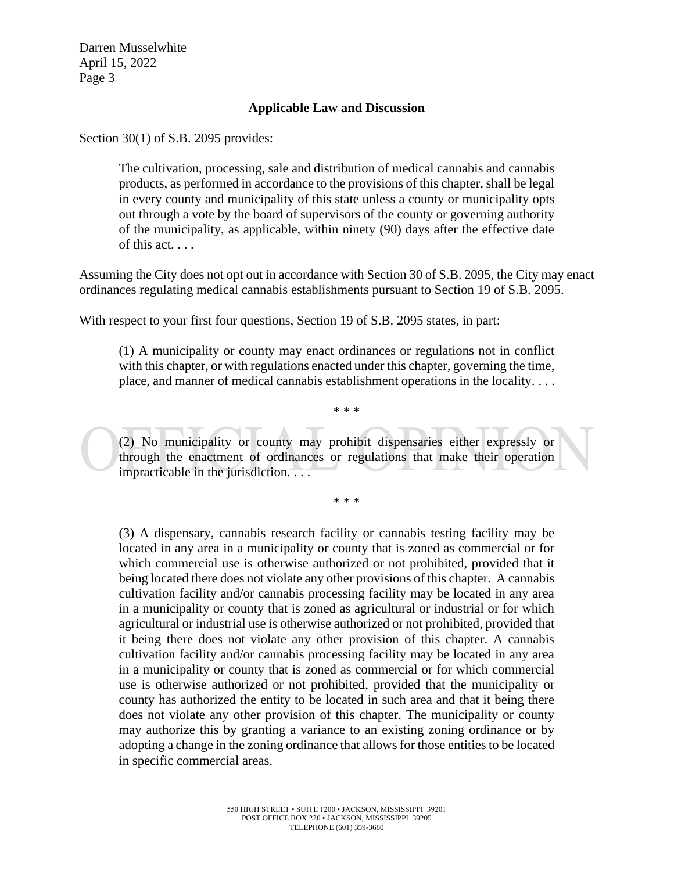#### **Applicable Law and Discussion**

Section 30(1) of S.B. 2095 provides:

The cultivation, processing, sale and distribution of medical cannabis and cannabis products, as performed in accordance to the provisions of this chapter, shall be legal in every county and municipality of this state unless a county or municipality opts out through a vote by the board of supervisors of the county or governing authority of the municipality, as applicable, within ninety (90) days after the effective date of this act. . . .

Assuming the City does not opt out in accordance with Section 30 of S.B. 2095, the City may enact ordinances regulating medical cannabis establishments pursuant to Section 19 of S.B. 2095.

With respect to your first four questions, Section 19 of S.B. 2095 states, in part:

(1) A municipality or county may enact ordinances or regulations not in conflict with this chapter, or with regulations enacted under this chapter, governing the time, place, and manner of medical cannabis establishment operations in the locality. . . .

(2) No municipality or county may prohibit dispensaries either expressly or through the enactment of ordinances or regulations that make their operation impracticable in the jurisdiction. . . .

\* \* \*

\* \* \*

(3) A dispensary, cannabis research facility or cannabis testing facility may be located in any area in a municipality or county that is zoned as commercial or for which commercial use is otherwise authorized or not prohibited, provided that it being located there does not violate any other provisions of this chapter. A cannabis cultivation facility and/or cannabis processing facility may be located in any area in a municipality or county that is zoned as agricultural or industrial or for which agricultural or industrial use is otherwise authorized or not prohibited, provided that it being there does not violate any other provision of this chapter. A cannabis cultivation facility and/or cannabis processing facility may be located in any area in a municipality or county that is zoned as commercial or for which commercial use is otherwise authorized or not prohibited, provided that the municipality or county has authorized the entity to be located in such area and that it being there does not violate any other provision of this chapter. The municipality or county may authorize this by granting a variance to an existing zoning ordinance or by adopting a change in the zoning ordinance that allows for those entities to be located in specific commercial areas.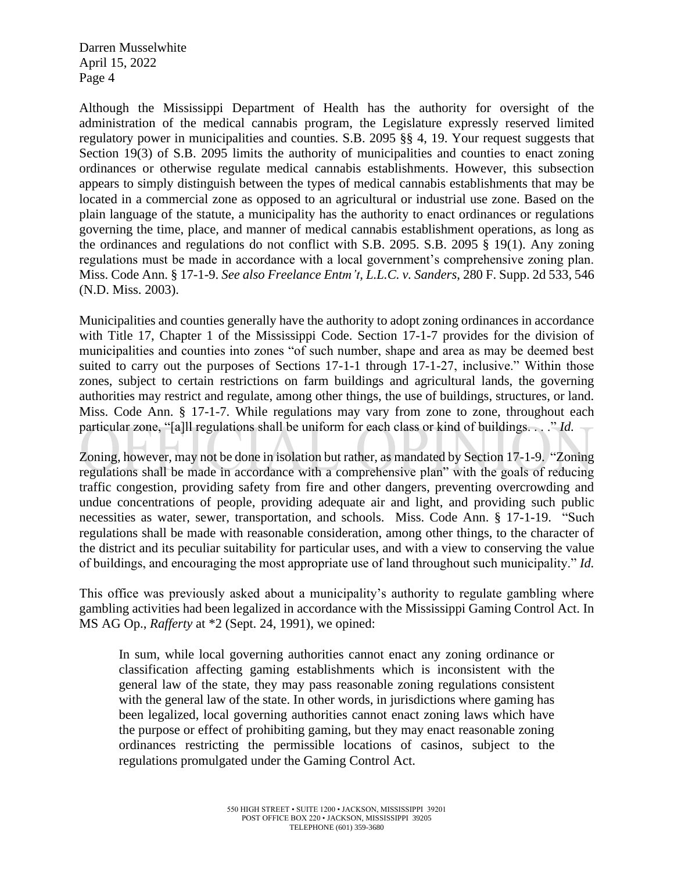Although the Mississippi Department of Health has the authority for oversight of the administration of the medical cannabis program, the Legislature expressly reserved limited regulatory power in municipalities and counties. S.B. 2095 §§ 4, 19. Your request suggests that Section 19(3) of S.B. 2095 limits the authority of municipalities and counties to enact zoning ordinances or otherwise regulate medical cannabis establishments. However, this subsection appears to simply distinguish between the types of medical cannabis establishments that may be located in a commercial zone as opposed to an agricultural or industrial use zone. Based on the plain language of the statute, a municipality has the authority to enact ordinances or regulations governing the time, place, and manner of medical cannabis establishment operations, as long as the ordinances and regulations do not conflict with S.B. 2095. S.B. 2095 § 19(1). Any zoning regulations must be made in accordance with a local government's comprehensive zoning plan. Miss. Code Ann. § 17-1-9. *See also Freelance Entm't, L.L.C. v. Sanders*, 280 F. Supp. 2d 533, 546 (N.D. Miss. 2003).

Municipalities and counties generally have the authority to adopt zoning ordinances in accordance with Title 17, Chapter 1 of the Mississippi Code. Section 17-1-7 provides for the division of municipalities and counties into zones "of such number, shape and area as may be deemed best suited to carry out the purposes of Sections 17-1-1 through 17-1-27, inclusive." Within those zones, subject to certain restrictions on farm buildings and agricultural lands, the governing authorities may restrict and regulate, among other things, the use of buildings, structures, or land. Miss. Code Ann. § 17-1-7. While regulations may vary from zone to zone, throughout each particular zone, "[a]ll regulations shall be uniform for each class or kind of buildings. . . ." *Id.*

Zoning, however, may not be done in isolation but rather, as mandated by Section 17-1-9. "Zoning regulations shall be made in accordance with a comprehensive plan" with the goals of reducing traffic congestion, providing safety from fire and other dangers, preventing overcrowding and undue concentrations of people, providing adequate air and light, and providing such public necessities as water, sewer, transportation, and schools. Miss. Code Ann. § 17-1-19. "Such regulations shall be made with reasonable consideration, among other things, to the character of the district and its peculiar suitability for particular uses, and with a view to conserving the value of buildings, and encouraging the most appropriate use of land throughout such municipality." *Id.*

This office was previously asked about a municipality's authority to regulate gambling where gambling activities had been legalized in accordance with the Mississippi Gaming Control Act. In MS AG Op., *Rafferty* at \*2 (Sept. 24, 1991), we opined:

In sum, while local governing authorities cannot enact any zoning ordinance or classification affecting gaming establishments which is inconsistent with the general law of the state, they may pass reasonable zoning regulations consistent with the general law of the state. In other words, in jurisdictions where gaming has been legalized, local governing authorities cannot enact zoning laws which have the purpose or effect of prohibiting gaming, but they may enact reasonable zoning ordinances restricting the permissible locations of casinos, subject to the regulations promulgated under the Gaming Control Act.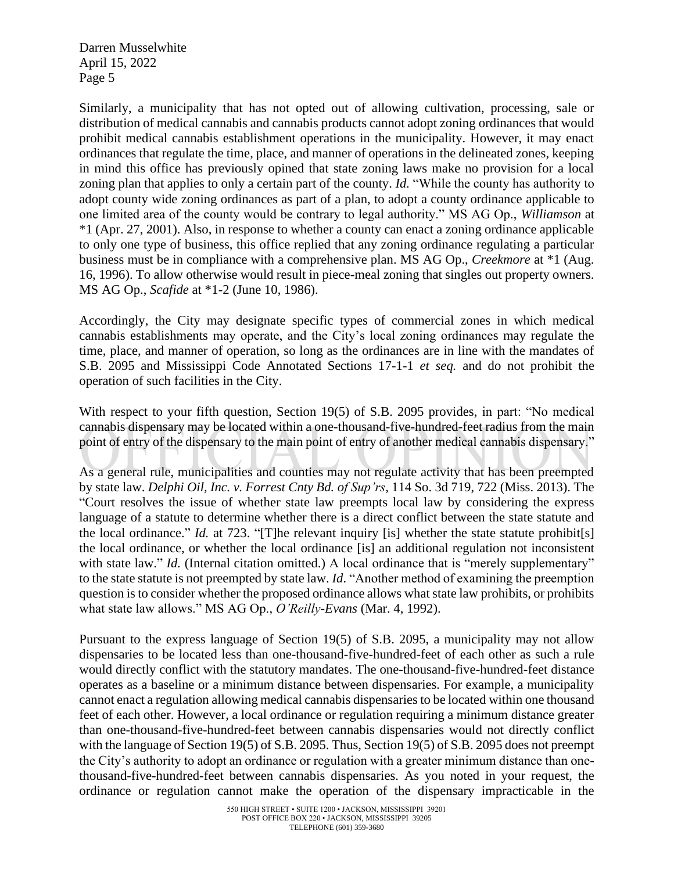Similarly, a municipality that has not opted out of allowing cultivation, processing, sale or distribution of medical cannabis and cannabis products cannot adopt zoning ordinances that would prohibit medical cannabis establishment operations in the municipality. However, it may enact ordinances that regulate the time, place, and manner of operations in the delineated zones, keeping in mind this office has previously opined that state zoning laws make no provision for a local zoning plan that applies to only a certain part of the county. *Id.* "While the county has authority to adopt county wide zoning ordinances as part of a plan, to adopt a county ordinance applicable to one limited area of the county would be contrary to legal authority." MS AG Op., *Williamson* at \*1 (Apr. 27, 2001). Also, in response to whether a county can enact a zoning ordinance applicable to only one type of business, this office replied that any zoning ordinance regulating a particular business must be in compliance with a comprehensive plan. MS AG Op., *Creekmore* at \*1 (Aug. 16, 1996). To allow otherwise would result in piece-meal zoning that singles out property owners. MS AG Op., *Scafide* at \*1-2 (June 10, 1986).

Accordingly, the City may designate specific types of commercial zones in which medical cannabis establishments may operate, and the City's local zoning ordinances may regulate the time, place, and manner of operation, so long as the ordinances are in line with the mandates of S.B. 2095 and Mississippi Code Annotated Sections 17-1-1 *et seq.* and do not prohibit the operation of such facilities in the City.

With respect to your fifth question, Section 19(5) of S.B. 2095 provides, in part: "No medical cannabis dispensary may be located within a one-thousand-five-hundred-feet radius from the main point of entry of the dispensary to the main point of entry of another medical cannabis dispensary."

As a general rule, municipalities and counties may not regulate activity that has been preempted by state law. *Delphi Oil, Inc. v. Forrest Cnty Bd. of Sup'rs*, 114 So. 3d 719, 722 (Miss. 2013). The "Court resolves the issue of whether state law preempts local law by considering the express language of a statute to determine whether there is a direct conflict between the state statute and the local ordinance." *Id.* at 723. "[T]he relevant inquiry [is] whether the state statute prohibit[s] the local ordinance, or whether the local ordinance [is] an additional regulation not inconsistent with state law." *Id.* (Internal citation omitted.) A local ordinance that is "merely supplementary" to the state statute is not preempted by state law. *Id*. "Another method of examining the preemption question is to consider whether the proposed ordinance allows what state law prohibits, or prohibits what state law allows." MS AG Op., *O'Reilly-Evans* (Mar. 4, 1992).

Pursuant to the express language of Section 19(5) of S.B. 2095, a municipality may not allow dispensaries to be located less than one-thousand-five-hundred-feet of each other as such a rule would directly conflict with the statutory mandates. The one-thousand-five-hundred-feet distance operates as a baseline or a minimum distance between dispensaries. For example, a municipality cannot enact a regulation allowing medical cannabis dispensaries to be located within one thousand feet of each other. However, a local ordinance or regulation requiring a minimum distance greater than one-thousand-five-hundred-feet between cannabis dispensaries would not directly conflict with the language of Section 19(5) of S.B. 2095. Thus, Section 19(5) of S.B. 2095 does not preempt the City's authority to adopt an ordinance or regulation with a greater minimum distance than onethousand-five-hundred-feet between cannabis dispensaries. As you noted in your request, the ordinance or regulation cannot make the operation of the dispensary impracticable in the